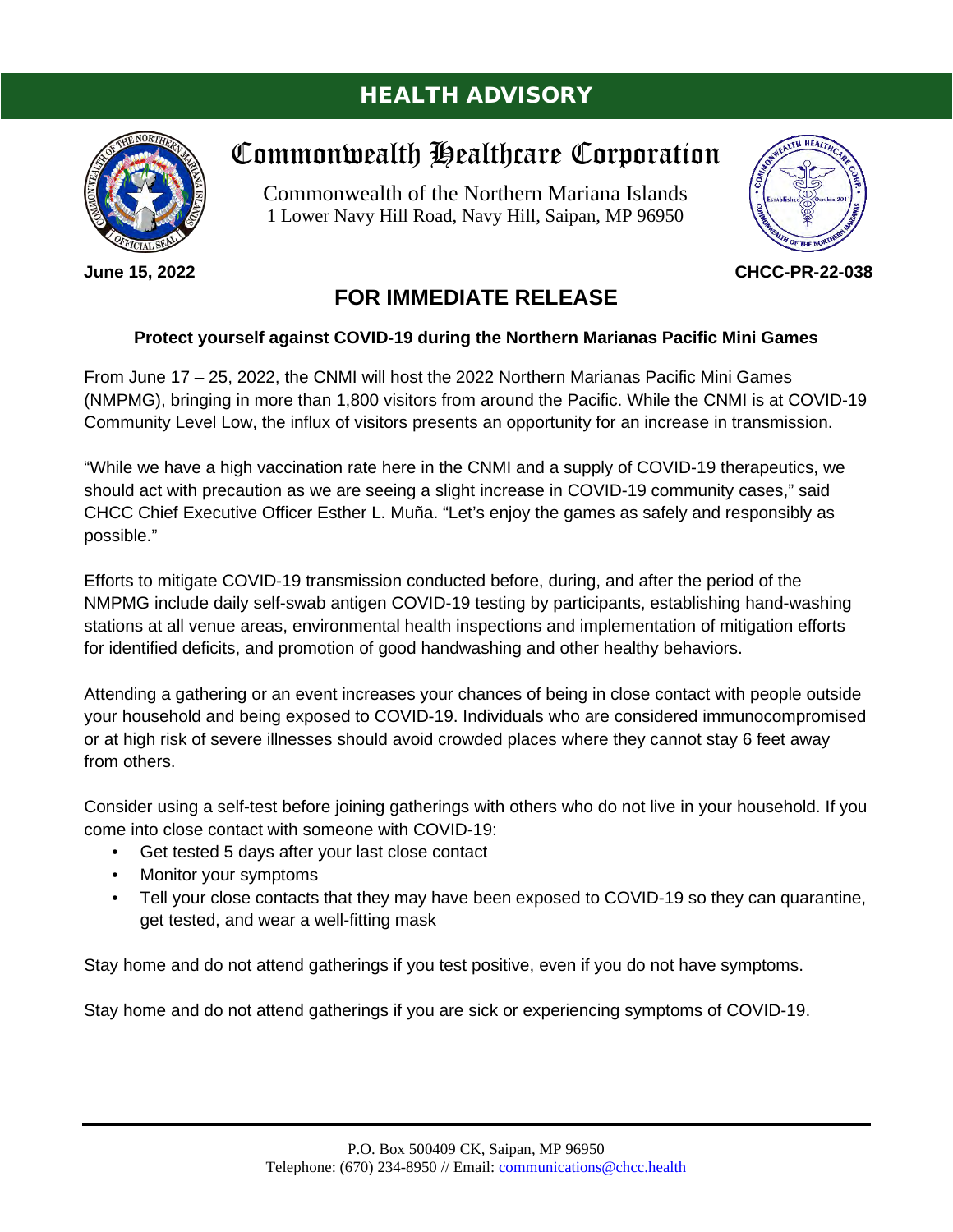# HEALTH ADVISORY



**June 15, 2022**

# Commonwealth Healthcare Corporation

Commonwealth of the Northern Mariana Islands 1 Lower Navy Hill Road, Navy Hill, Saipan, MP 96950



**CHCC-PR-22-038**

# **FOR IMMEDIATE RELEASE**

# **Protect yourself against COVID-19 during the Northern Marianas Pacific Mini Games**

From June 17 – 25, 2022, the CNMI will host the 2022 Northern Marianas Pacific Mini Games (NMPMG), bringing in more than 1,800 visitors from around the Pacific. While the CNMI is at COVID-19 Community Level Low, the influx of visitors presents an opportunity for an increase in transmission.

"While we have a high vaccination rate here in the CNMI and a supply of COVID-19 therapeutics, we should act with precaution as we are seeing a slight increase in COVID-19 community cases," said CHCC Chief Executive Officer Esther L. Muña. "Let's enjoy the games as safely and responsibly as possible."

Efforts to mitigate COVID-19 transmission conducted before, during, and after the period of the NMPMG include daily self-swab antigen COVID-19 testing by participants, establishing hand-washing stations at all venue areas, environmental health inspections and implementation of mitigation efforts for identified deficits, and promotion of good handwashing and other healthy behaviors.

Attending a gathering or an event increases your chances of being in close contact with people outside your household and being exposed to COVID-19. Individuals who are considered immunocompromised or at high risk of severe illnesses should avoid crowded places where they cannot stay 6 feet away from others.

Consider using a self-test before joining gatherings with others who do not live in your household. If you come into close contact with someone with COVID-19:

- Get tested 5 days after your last close contact
- Monitor your symptoms
- Tell your close contacts that they may have been exposed to COVID-19 so they can quarantine, get tested, and wear a well-fitting mask

Stay home and do not attend gatherings if you test positive, even if you do not have symptoms.

Stay home and do not attend gatherings if you are sick or experiencing symptoms of COVID-19.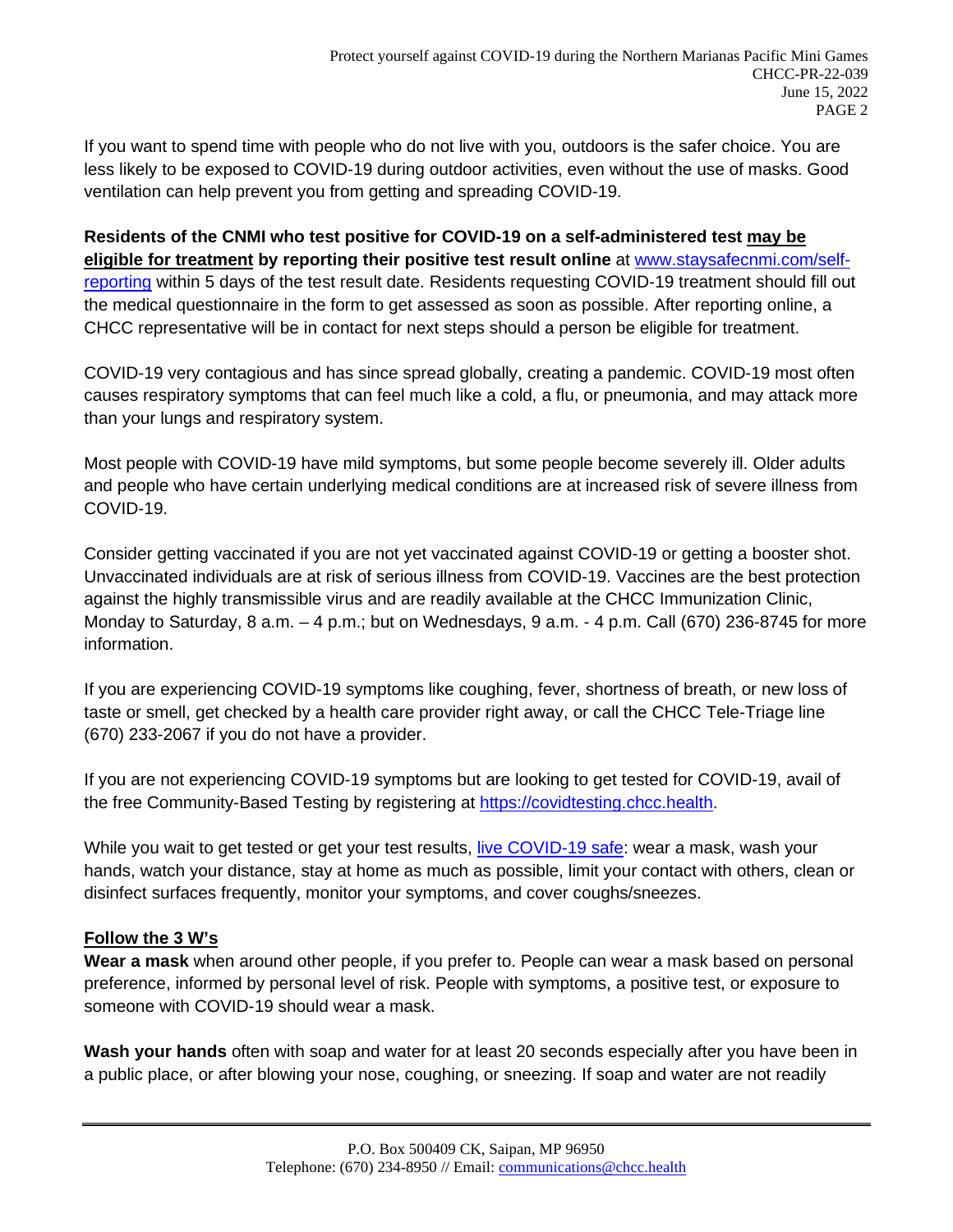If you want to spend time with people who do not live with you, outdoors is the safer choice. You are less likely to be exposed to COVID-19 during outdoor activities, even without the use of masks. Good ventilation can help prevent you from getting and spreading COVID-19.

**Residents of the CNMI who test positive for COVID-19 on a self-administered test may be eligible for treatment by reporting their positive test result online** at [www.staysafecnmi.com/self](http://www.staysafecnmi.com/self-reporting)[reporting](http://www.staysafecnmi.com/self-reporting) within 5 days of the test result date. Residents requesting COVID-19 treatment should fill out the medical questionnaire in the form to get assessed as soon as possible. After reporting online, a CHCC representative will be in contact for next steps should a person be eligible for treatment.

COVID-19 very contagious and has since spread globally, creating a pandemic. COVID-19 most often causes respiratory symptoms that can feel much like a cold, a flu, or pneumonia, and may attack more than your lungs and respiratory system.

Most people with COVID-19 have mild symptoms, but some people become severely ill. Older adults and people who have certain underlying medical conditions are at increased risk of severe illness from COVID-19.

Consider getting vaccinated if you are not yet vaccinated against COVID-19 or getting a booster shot. Unvaccinated individuals are at risk of serious illness from COVID-19. Vaccines are the best protection against the highly transmissible virus and are readily available at the CHCC Immunization Clinic, Monday to Saturday, 8 a.m. – 4 p.m.; but on Wednesdays, 9 a.m. - 4 p.m. Call (670) 236-8745 for more information.

If you are experiencing COVID-19 symptoms like coughing, fever, shortness of breath, or new loss of taste or smell, get checked by a health care provider right away, or call the CHCC Tele-Triage line (670) 233-2067 if you do not have a provider.

If you are not experiencing COVID-19 symptoms but are looking to get tested for COVID-19, avail of the free Community-Based Testing by registering at [https://covidtesting.chcc.health.](https://covidtesting.chcc.health/)

While you wait to get tested or get your test results, [live COVID-19 safe:](http://www.staysafecnmi.com/livecovidsafe) wear a mask, wash your hands, watch your distance, stay at home as much as possible, limit your contact with others, clean or disinfect surfaces frequently, monitor your symptoms, and cover coughs/sneezes.

# **Follow the 3 W's**

**Wear a mask** when around other people, if you prefer to. People can wear a mask based on personal preference, informed by personal level of risk. People with symptoms, a positive test, or exposure to someone with COVID-19 should wear a mask.

**Wash your hands** often with soap and water for at least 20 seconds especially after you have been in a public place, or after blowing your nose, coughing, or sneezing. If soap and water are not readily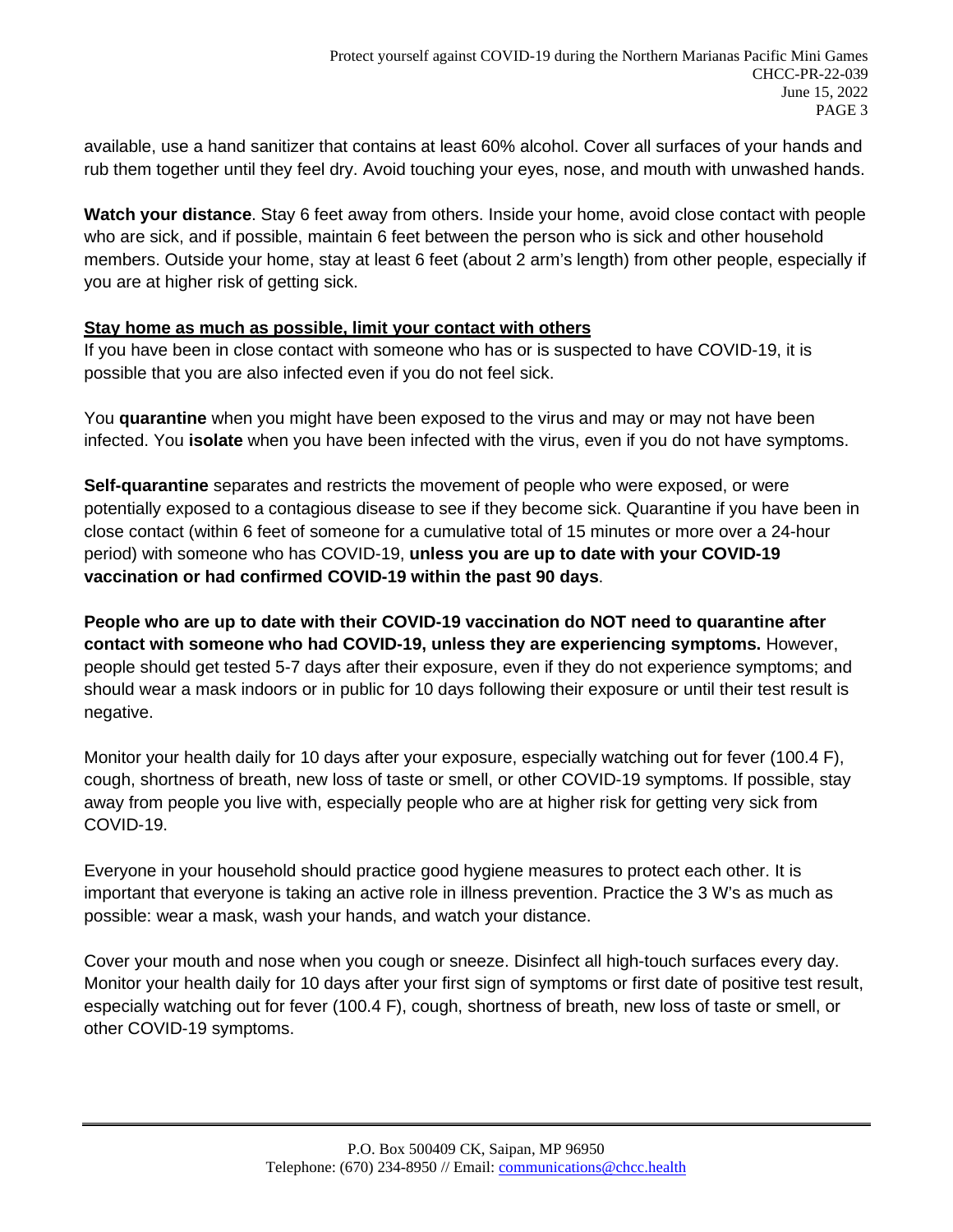available, use a hand sanitizer that contains at least 60% alcohol. Cover all surfaces of your hands and rub them together until they feel dry. Avoid touching your eyes, nose, and mouth with unwashed hands.

**Watch your distance**. Stay 6 feet away from others. Inside your home, avoid close contact with people who are sick, and if possible, maintain 6 feet between the person who is sick and other household members. Outside your home, stay at least 6 feet (about 2 arm's length) from other people, especially if you are at higher risk of getting sick.

# **Stay home as much as possible, limit your contact with others**

If you have been in close contact with someone who has or is suspected to have COVID-19, it is possible that you are also infected even if you do not feel sick.

You **quarantine** when you might have been exposed to the virus and may or may not have been infected. You **isolate** when you have been infected with the virus, even if you do not have symptoms.

**Self-quarantine** separates and restricts the movement of people who were exposed, or were potentially exposed to a contagious disease to see if they become sick. Quarantine if you have been in close contact (within 6 feet of someone for a cumulative total of 15 minutes or more over a 24-hour period) with someone who has COVID-19, **unless you are up to date with your COVID-19 vaccination or had confirmed COVID-19 within the past 90 days**.

**People who are up to date with their COVID-19 vaccination do NOT need to quarantine after contact with someone who had COVID-19, unless they are experiencing symptoms.** However, people should get tested 5-7 days after their exposure, even if they do not experience symptoms; and should wear a mask indoors or in public for 10 days following their exposure or until their test result is negative.

Monitor your health daily for 10 days after your exposure, especially watching out for fever (100.4 F), cough, shortness of breath, new loss of taste or smell, or other COVID-19 symptoms. If possible, stay away from people you live with, especially people who are at higher risk for getting very sick from COVID-19.

Everyone in your household should practice good hygiene measures to protect each other. It is important that everyone is taking an active role in illness prevention. Practice the 3 W's as much as possible: wear a mask, wash your hands, and watch your distance.

Cover your mouth and nose when you cough or sneeze. Disinfect all high-touch surfaces every day. Monitor your health daily for 10 days after your first sign of symptoms or first date of positive test result, especially watching out for fever (100.4 F), cough, shortness of breath, new loss of taste or smell, or other COVID-19 symptoms.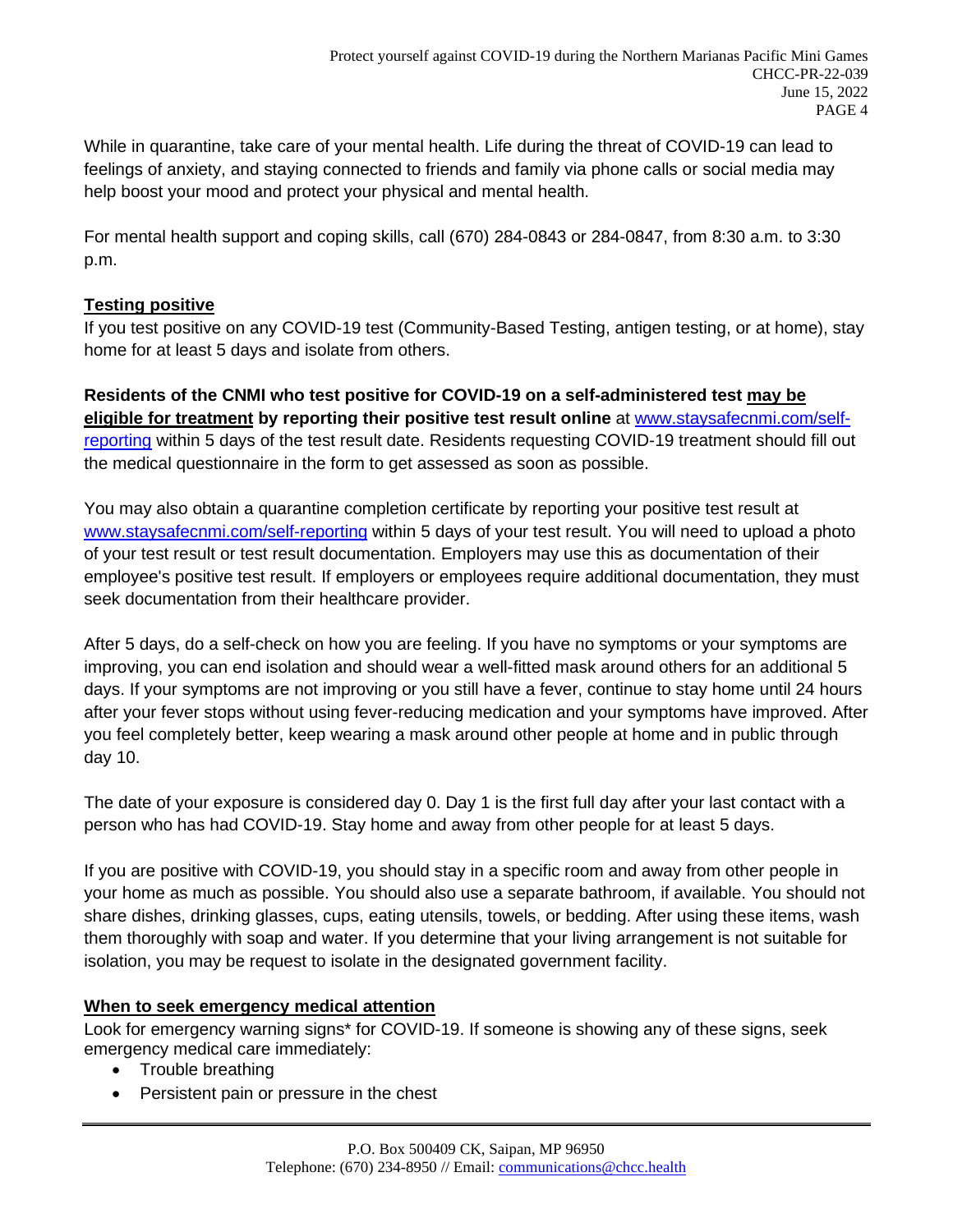While in quarantine, take care of your mental health. Life during the threat of COVID-19 can lead to feelings of anxiety, and staying connected to friends and family via phone calls or social media may help boost your mood and protect your physical and mental health.

For mental health support and coping skills, call (670) 284-0843 or 284-0847, from 8:30 a.m. to 3:30 p.m.

#### **Testing positive**

If you test positive on any COVID-19 test (Community-Based Testing, antigen testing, or at home), stay home for at least 5 days and isolate from others.

**Residents of the CNMI who test positive for COVID-19 on a self-administered test may be eligible for treatment by reporting their positive test result online** at [www.staysafecnmi.com/self](http://www.staysafecnmi.com/self-reporting)[reporting](http://www.staysafecnmi.com/self-reporting) within 5 days of the test result date. Residents requesting COVID-19 treatment should fill out the medical questionnaire in the form to get assessed as soon as possible.

You may also obtain a quarantine completion certificate by reporting your positive test result at [www.staysafecnmi.com/self-reporting](http://www.staysafecnmi.com/self-reporting) within 5 days of your test result. You will need to upload a photo of your test result or test result documentation. Employers may use this as documentation of their employee's positive test result. If employers or employees require additional documentation, they must seek documentation from their healthcare provider.

After 5 days, do a self-check on how you are feeling. If you have no symptoms or your symptoms are improving, you can end isolation and should wear a well-fitted mask around others for an additional 5 days. If your symptoms are not improving or you still have a fever, continue to stay home until 24 hours after your fever stops without using fever-reducing medication and your symptoms have improved. After you feel completely better, keep wearing a mask around other people at home and in public through day 10.

The date of your exposure is considered day 0. Day 1 is the first full day after your last contact with a person who has had COVID-19. Stay home and away from other people for at least 5 days.

If you are positive with COVID-19, you should stay in a specific room and away from other people in your home as much as possible. You should also use a separate bathroom, if available. You should not share dishes, drinking glasses, cups, eating utensils, towels, or bedding. After using these items, wash them thoroughly with soap and water. If you determine that your living arrangement is not suitable for isolation, you may be request to isolate in the designated government facility.

# **When to seek emergency medical attention**

Look for emergency warning signs\* for COVID-19. If someone is showing any of these signs, seek emergency medical care immediately:

- Trouble breathing
- Persistent pain or pressure in the chest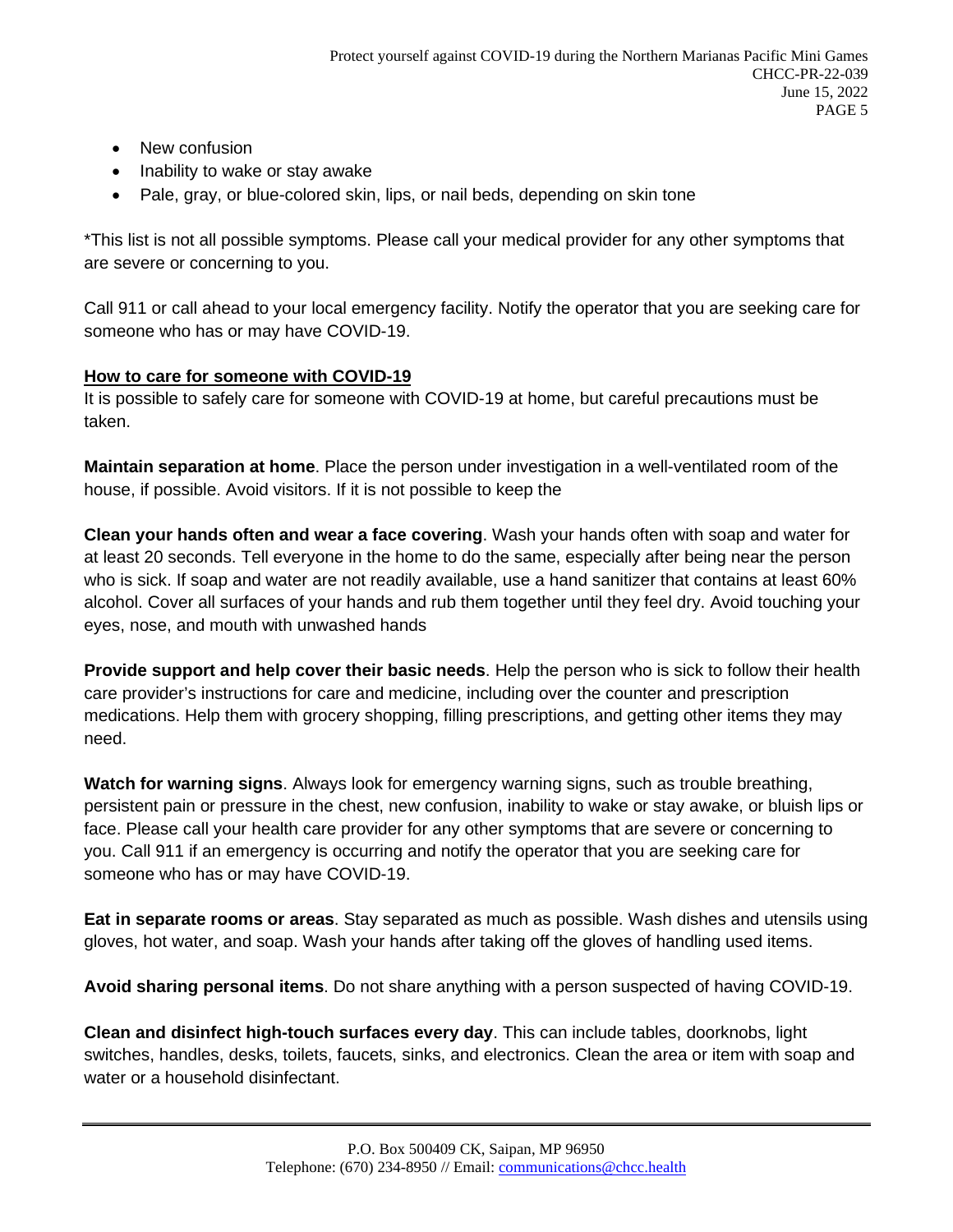- New confusion
- Inability to wake or stay awake
- Pale, gray, or blue-colored skin, lips, or nail beds, depending on skin tone

\*This list is not all possible symptoms. Please call your medical provider for any other symptoms that are severe or concerning to you.

Call 911 or call ahead to your local emergency facility. Notify the operator that you are seeking care for someone who has or may have COVID-19.

# **How to care for someone with COVID-19**

It is possible to safely care for someone with COVID-19 at home, but careful precautions must be taken.

**Maintain separation at home**. Place the person under investigation in a well-ventilated room of the house, if possible. Avoid visitors. If it is not possible to keep the

**Clean your hands often and wear a face covering**. Wash your hands often with soap and water for at least 20 seconds. Tell everyone in the home to do the same, especially after being near the person who is sick. If soap and water are not readily available, use a hand sanitizer that contains at least 60% alcohol. Cover all surfaces of your hands and rub them together until they feel dry. Avoid touching your eyes, nose, and mouth with unwashed hands

**Provide support and help cover their basic needs**. Help the person who is sick to follow their health care provider's instructions for care and medicine, including over the counter and prescription medications. Help them with grocery shopping, filling prescriptions, and getting other items they may need.

**Watch for warning signs**. Always look for emergency warning signs, such as trouble breathing, persistent pain or pressure in the chest, new confusion, inability to wake or stay awake, or bluish lips or face. Please call your health care provider for any other symptoms that are severe or concerning to you. Call 911 if an emergency is occurring and notify the operator that you are seeking care for someone who has or may have COVID-19.

**Eat in separate rooms or areas**. Stay separated as much as possible. Wash dishes and utensils using gloves, hot water, and soap. Wash your hands after taking off the gloves of handling used items.

**Avoid sharing personal items**. Do not share anything with a person suspected of having COVID-19.

**Clean and disinfect high-touch surfaces every day**. This can include tables, doorknobs, light switches, handles, desks, toilets, faucets, sinks, and electronics. Clean the area or item with soap and water or a household disinfectant.